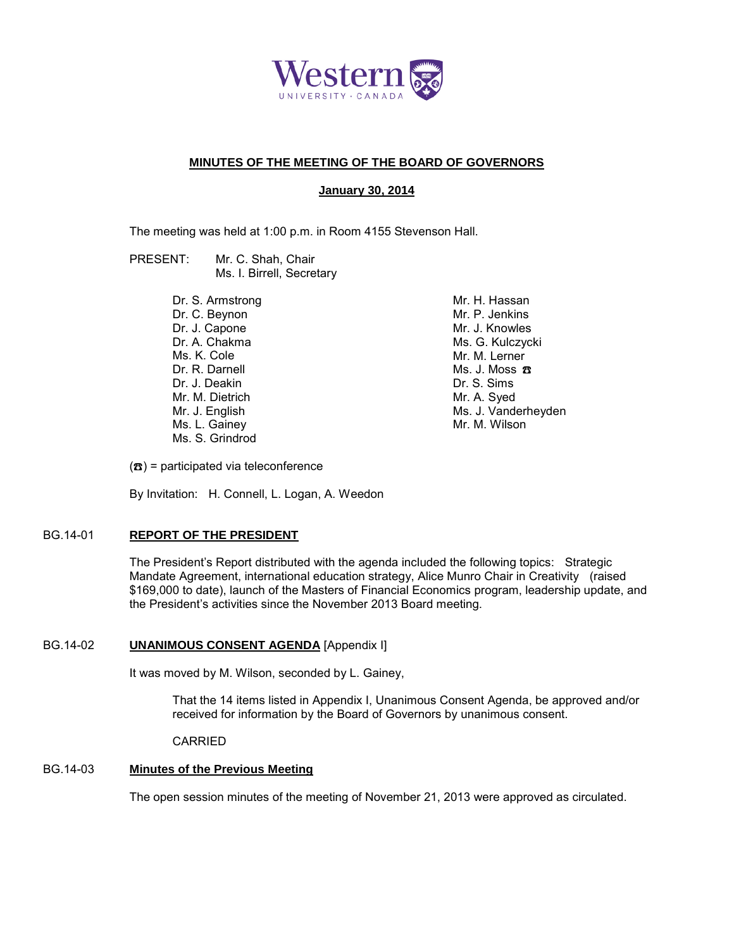

## **MINUTES OF THE MEETING OF THE BOARD OF GOVERNORS**

## **January 30, 2014**

The meeting was held at 1:00 p.m. in Room 4155 Stevenson Hall.

PRESENT: Mr. C. Shah, Chair Ms. I. Birrell, Secretary

> Dr. S. Armstrong Dr. C. Beynon Dr. J. Capone Dr. A. Chakma Ms. K. Cole Dr. R. Darnell Dr. J. Deakin Mr. M. Dietrich Mr. J. English Ms. L. Gainey Ms. S. Grindrod

Mr. H. Hassan Mr. P. Jenkins Mr. J. Knowles Ms. G. Kulczycki Mr. M. Lerner Ms. J. Moss ☎ Dr. S. Sims Mr. A. Syed Ms. J. Vanderheyden Mr. M. Wilson

 $(\mathbf{\mathcal{B}})$  = participated via teleconference

By Invitation: H. Connell, L. Logan, A. Weedon

## BG.14-01 **REPORT OF THE PRESIDENT**

The President's Report distributed with the agenda included the following topics: Strategic Mandate Agreement, international education strategy, Alice Munro Chair in Creativity (raised \$169,000 to date), launch of the Masters of Financial Economics program, leadership update, and the President's activities since the November 2013 Board meeting.

## BG.14-02 **UNANIMOUS CONSENT AGENDA** [Appendix I]

It was moved by M. Wilson, seconded by L. Gainey,

That the 14 items listed in Appendix I, Unanimous Consent Agenda, be approved and/or received for information by the Board of Governors by unanimous consent.

CARRIED

## BG.14-03 **Minutes of the Previous Meeting**

The open session minutes of the meeting of November 21, 2013 were approved as circulated.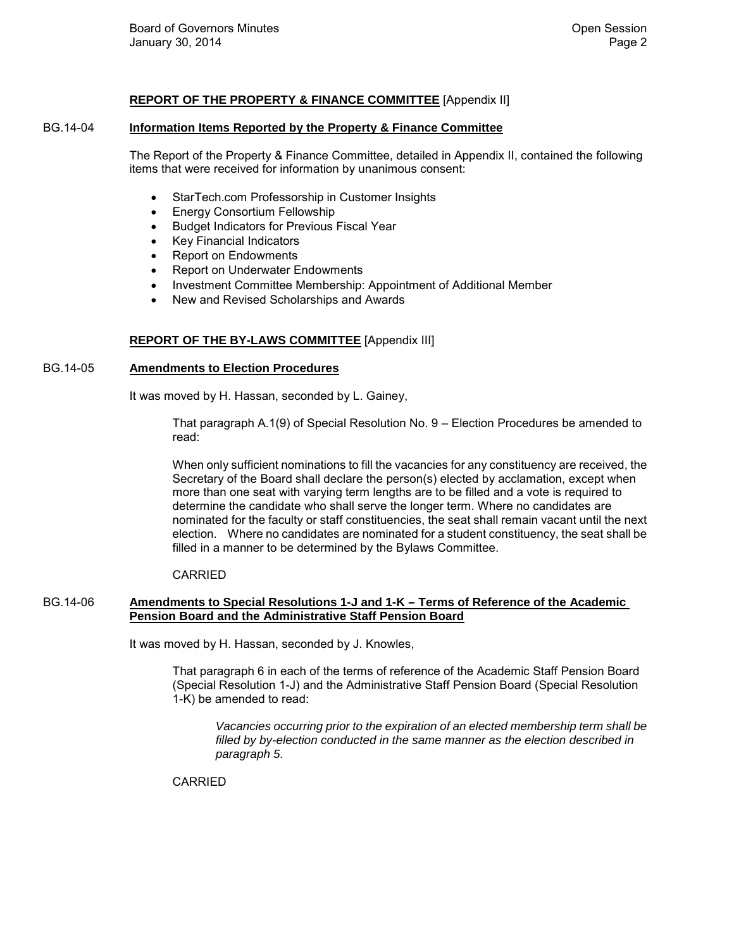## **REPORT OF THE PROPERTY & FINANCE COMMITTEE** [Appendix II]

#### BG.14-04 **Information Items Reported by the Property & Finance Committee**

The Report of the Property & Finance Committee, detailed in Appendix II, contained the following items that were received for information by unanimous consent:

- StarTech.com Professorship in Customer Insights
- Energy Consortium Fellowship
- Budget Indicators for Previous Fiscal Year
- Key Financial Indicators
- Report on Endowments
- Report on Underwater Endowments
- Investment Committee Membership: Appointment of Additional Member
- New and Revised Scholarships and Awards

## **REPORT OF THE BY-LAWS COMMITTEE** [Appendix III]

#### BG.14-05 **Amendments to Election Procedures**

It was moved by H. Hassan, seconded by L. Gainey,

That paragraph A.1(9) of Special Resolution No. 9 – Election Procedures be amended to read:

When only sufficient nominations to fill the vacancies for any constituency are received, the Secretary of the Board shall declare the person(s) elected by acclamation, except when more than one seat with varying term lengths are to be filled and a vote is required to determine the candidate who shall serve the longer term. Where no candidates are nominated for the faculty or staff constituencies, the seat shall remain vacant until the next election. Where no candidates are nominated for a student constituency, the seat shall be filled in a manner to be determined by the Bylaws Committee.

CARRIED

## BG.14-06 **Amendments to Special Resolutions 1-J and 1-K – Terms of Reference of the Academic Pension Board and the Administrative Staff Pension Board**

It was moved by H. Hassan, seconded by J. Knowles,

That paragraph 6 in each of the terms of reference of the Academic Staff Pension Board (Special Resolution 1-J) and the Administrative Staff Pension Board (Special Resolution 1-K) be amended to read:

*Vacancies occurring prior to the expiration of an elected membership term shall be filled by by-election conducted in the same manner as the election described in paragraph 5.*

CARRIED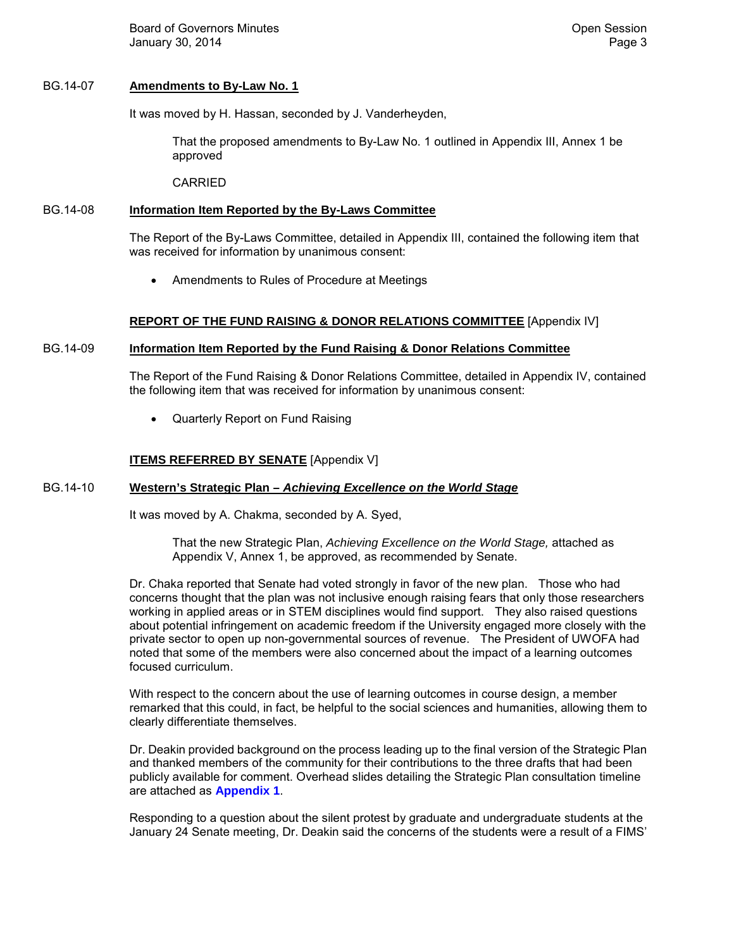Board of Governors Minutes **Contract Contract Contract Contract Contract Contract Contract Contract Contract Contract Contract Contract Contract Contract Contract Contract Contract Contract Contract Contract Contract Contr** January 30, 2014 **Page 3** 

## BG.14-07 **Amendments to By-Law No. 1**

It was moved by H. Hassan, seconded by J. Vanderheyden,

That the proposed amendments to By-Law No. 1 outlined in Appendix III, Annex 1 be approved

CARRIED

## BG.14-08 **Information Item Reported by the By-Laws Committee**

The Report of the By-Laws Committee, detailed in Appendix III, contained the following item that was received for information by unanimous consent:

• Amendments to Rules of Procedure at Meetings

## **REPORT OF THE FUND RAISING & DONOR RELATIONS COMMITTEE** [Appendix IV]

## BG.14-09 **Information Item Reported by the Fund Raising & Donor Relations Committee**

The Report of the Fund Raising & Donor Relations Committee, detailed in Appendix IV, contained the following item that was received for information by unanimous consent:

• Quarterly Report on Fund Raising

## **ITEMS REFERRED BY SENATE** [Appendix V]

## BG.14-10 **Western's Strategic Plan –** *Achieving Excellence on the World Stage*

It was moved by A. Chakma, seconded by A. Syed,

That the new Strategic Plan, *Achieving Excellence on the World Stage,* attached as Appendix V, Annex 1, be approved, as recommended by Senate.

Dr. Chaka reported that Senate had voted strongly in favor of the new plan. Those who had concerns thought that the plan was not inclusive enough raising fears that only those researchers working in applied areas or in STEM disciplines would find support. They also raised questions about potential infringement on academic freedom if the University engaged more closely with the private sector to open up non-governmental sources of revenue. The President of UWOFA had noted that some of the members were also concerned about the impact of a learning outcomes focused curriculum.

With respect to the concern about the use of learning outcomes in course design, a member remarked that this could, in fact, be helpful to the social sciences and humanities, allowing them to clearly differentiate themselves.

Dr. Deakin provided background on the process leading up to the final version of the Strategic Plan and thanked members of the community for their contributions to the three drafts that had been publicly available for comment. Overhead slides detailing the Strategic Plan consultation timeline are attached as **[Appendix 1](#page-4-0)**.

Responding to a question about the silent protest by graduate and undergraduate students at the January 24 Senate meeting, Dr. Deakin said the concerns of the students were a result of a FIMS'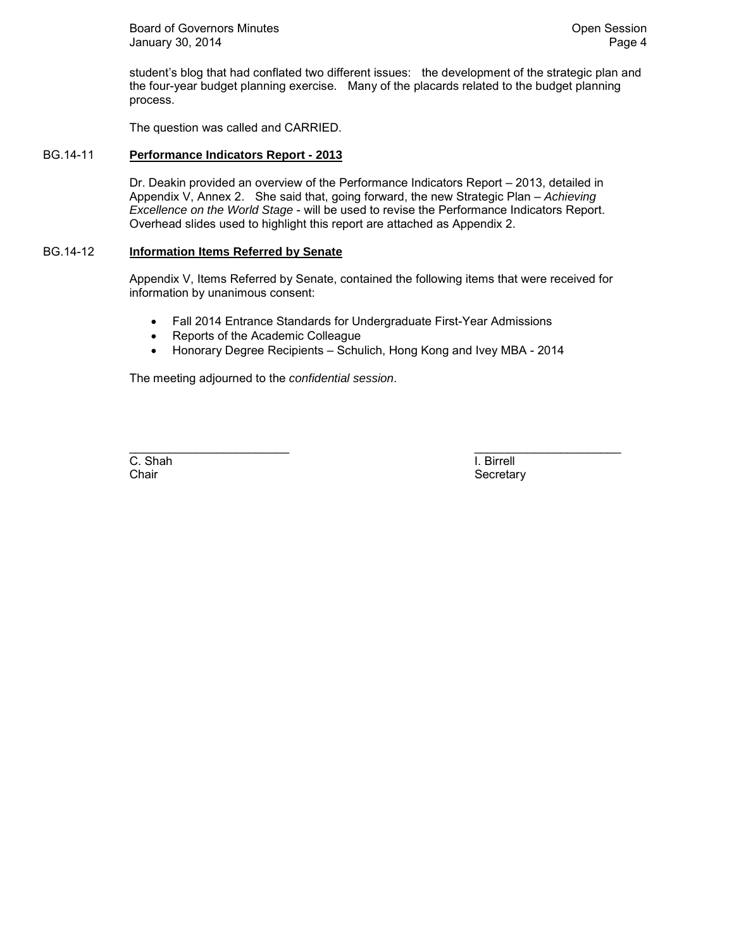Board of Governors Minutes **Community** Community Community Community Community Community Community Community Community Community Community Community Community Community Community Community Community Community Community Com January 30, 2014 **Page 4** 

student's blog that had conflated two different issues: the development of the strategic plan and the four-year budget planning exercise. Many of the placards related to the budget planning process.

The question was called and CARRIED.

### BG.14-11 **Performance Indicators Report - 2013**

Dr. Deakin provided an overview of the Performance Indicators Report – 2013, detailed in Appendix V, Annex 2. She said that, going forward, the new Strategic Plan – *Achieving Excellence on the World Stage* - will be used to revise the Performance Indicators Report. Overhead slides used to highlight this report are attached as Appendix 2.

## BG.14-12 **Information Items Referred by Senate**

Appendix V, Items Referred by Senate, contained the following items that were received for information by unanimous consent:

- Fall 2014 Entrance Standards for Undergraduate First-Year Admissions
- Reports of the Academic Colleague
- Honorary Degree Recipients Schulich, Hong Kong and Ivey MBA 2014

The meeting adjourned to the *confidential session*.

C. Shah I. Birrell

\_\_\_\_\_\_\_\_\_\_\_\_\_\_\_\_\_\_\_\_\_\_\_\_ \_\_\_\_\_\_\_\_\_\_\_\_\_\_\_\_\_\_\_\_\_\_ Chair **Secretary** Secretary